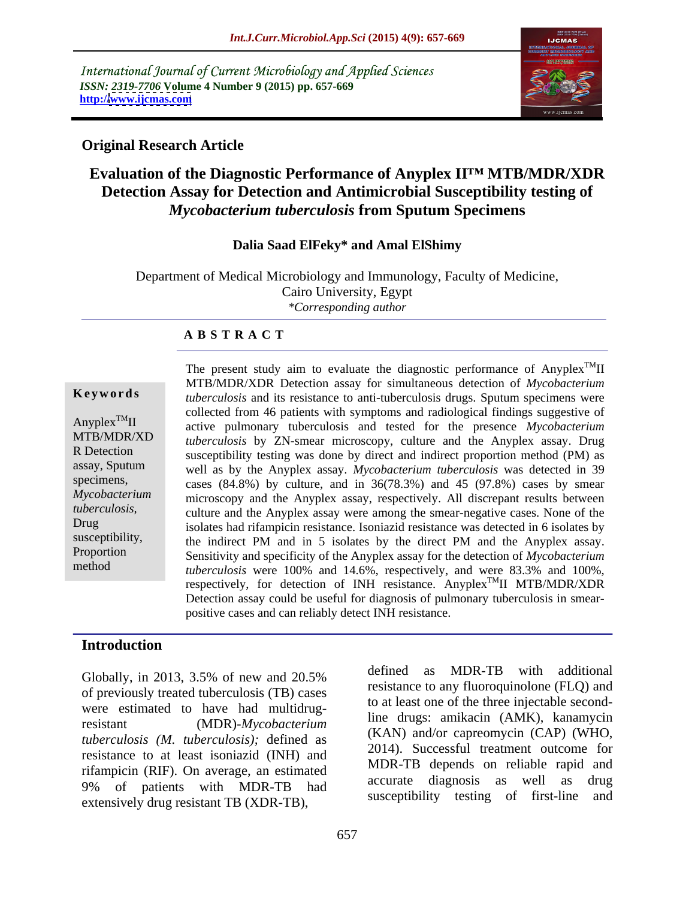International Journal of Current Microbiology and Applied Sciences *ISSN: 2319-7706* **Volume 4 Number 9 (2015) pp. 657-669 http:/[/www.ijcmas.com](http://www.ijcmas.com)**



# **Original Research Article**

# **Evaluation of the Diagnostic Performance of Anyplex II MTB/MDR/XDR Detection Assay for Detection and Antimicrobial Susceptibility testing of**  *Mycobacterium tuberculosis* **from Sputum Specimens**

### **Dalia Saad ElFeky\* and Amal ElShimy**

Department of Medical Microbiology and Immunology, Faculty of Medicine, Cairo University, Egypt *\*Corresponding author*

### **A B S T R A C T**

method

The present study aim to evaluate the diagnostic performance of Anyplex<sup>TM</sup>II  $T^{\text{M}}$ II MTB/MDR/XDR Detection assay for simultaneous detection of *Mycobacterium*  **Keywords** tuberculosis and its resistance to anti-tuberculosis drugs. Sputum specimens were collected from 46 patients with symptoms and radiological findings suggestive of Anyplex<sup>TM</sup>II active pulmonary tuberculosis and tested for the presence *Mycobacterium tuberculosis* by ZN-smear microscopy, culture and the Anyplex assay. Drug MTB/MDR/XD R Detection susceptibility testing was done by direct and indirect proportion method (PM) as assay, Sputum well as by the Anyplex assay. *Mycobacterium tuberculosis* was detected in 39 specimens, cases (84.8%) by culture, and in 36(78.3%) and 45 (97.8%) cases by smear microscopy and the Anyplex assay, respectively. All discrepant results between *Mycobacterium*  culture and the Anyplex assay were among the smear-negative cases. None of the *tuberculosis,* Drug isolates had rifampicin resistance. Isoniazid resistance was detected in 6 isolates by susceptibility, the indirect PM and in 5 isolates by the direct PM and the Anyplex assay. Sensitivity and specificity of the Anyplex assay for the detection of *Mycobacterium*  Proportion *tuberculosis* were 100% and 14.6%, respectively, and were 83.3% and 100%, respectively, for detection of INH resistance. Anyplex<sup>TM</sup>II MTB/MDR/XDR TMII MTB/MDR/XDR Detection assay could be useful for diagnosis of pulmonary tuberculosis in smearpositive cases and can reliably detect INH resistance.

### **Introduction**

of previously treated tuberculosis (TB) cases were estimated to have had multidrugresistant (MDR)-*Mycobacterium tuberculosis (M. tuberculosis);* defined as resistance to at least isoniazid (INH) and rifampicin (RIF). On average, an estimated extensively drug resistant TB (XDR-TB),

Globally, in 2013, 3.5% of new and  $20.5%$  defined as  $MDR-1D$  with additional 9% of patients with MDR-TB had accurate diagnosis as well as drug defined as MDR-TB with additional resistance to any fluoroquinolone (FLQ) and to at least one of the three injectable secondline drugs: amikacin (AMK), kanamycin (KAN) and/or capreomycin (CAP) (WHO, 2014). Successful treatment outcome for MDR-TB depends on reliable rapid and accurate diagnosis as well as drug susceptibility testing of first-line and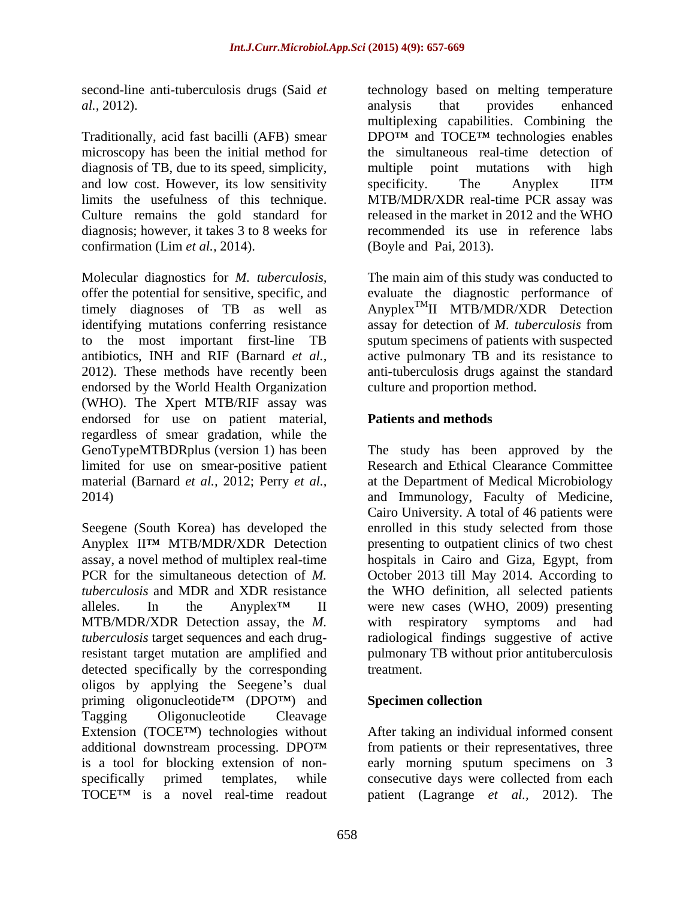microscopy has been the initial method for diagnosis of TB, due to its speed, simplicity, multiple point mutations with high and low cost. However, its low sensitivity specificity. The Anyplex  $II<sup>TM</sup>$ limits the usefulness of this technique. Culture remains the gold standard for confirmation (Lim *et al.,* 2014).

Molecular diagnostics for *M. tuberculosis,* The main aim of this study was conducted to offer the potential for sensitive, specific, and evaluate the diagnostic performance of timely diagnoses of TB as well as Anyplex<sup>TM</sup>II MTB/MDR/XDR Detection identifying mutations conferring resistance assay for detection of *M. tuberculosis* from to the most important first-line TB sputum specimens of patients with suspected antibiotics, INH and RIF (Barnard *et al.,* active pulmonary TB and its resistance to 2012). These methods have recently been anti-tuberculosis drugs against the standard endorsed by the World Health Organization (WHO). The Xpert MTB/RIF assay was endorsed for use on patient material, **Patients and methods** regardless of smear gradation, while the GenoTypeMTBDRplus (version 1) has been The study has been approved by the limited for use on smear-positive patient material (Barnard *et al.,* 2012; Perry *et al.,* at the Department of Medical Microbiology 2014) and Immunology, Faculty of Medicine,

Seegene (South Korea) has developed the Anyplex II<sup>TM</sup> MTB/MDR/XDR Detection presenting to outpatient clinics of two chest assay, a novel method of multiplex real-time hospitals in Cairo and Giza, Egypt, from PCR for the simultaneous detection of *M*. October 2013 till May 2014. According to *tuberculosis* and MDR and XDR resistance the WHO definition, all selected patients alleles. In the Anyplex<sup>TM</sup> II were new cases (WHO, 2009) presenting MTB/MDR/XDR Detection assay, the *M. tuberculosis* target sequences and each drugresistant target mutation are amplified and pulmonary TB without prior antituberculosis detected specifically by the corresponding treatment. oligos by applying the Seegene's dual priming oligonucleotide<sup>TM</sup> (DPO<sup>TM</sup>) and **Specimen collection** Tagging Oligonucleotide Cleavage Extension (TOCE<sup>TM</sup>) technologies without After taking an individual informed consent additional downstream processing. DPO<sup>TM</sup> from patients or their representatives, three is a tool for blocking extension of non specifically primed templates, while consecutive days were collected from each TOCE<sup>TM</sup> is a novel real-time readout patient (Lagrange *et al.,* 2012). The

second-line anti-tuberculosis drugs (Said *et*  technology based on melting temperature *al.,* 2012). Traditionally, acid fast bacilli (AFB) smear DPO<sup>TM</sup> and  $TOCE^{TM}$  technologies enables diagnosis; however, it takes 3 to 8 weeks for recommended its use in reference labs analysis that provides enhanced multiplexing capabilities. Combining the the simultaneous real-time detection of multiple point mutations with high specificity. The Anyplex II<sup>TM</sup> MTB/MDR/XDR real-time PCR assay was released in the market in 2012 and the WHO (Boyle and Pai, 2013).

culture and proportion method.

# **Patients and methods**

Research and Ethical Clearance Committee Cairo University. A total of 46 patients were enrolled in this study selected from those respiratory symptoms and had radiological findings suggestive of active treatment.

# **Specimen collection**

early morning sputum specimens on 3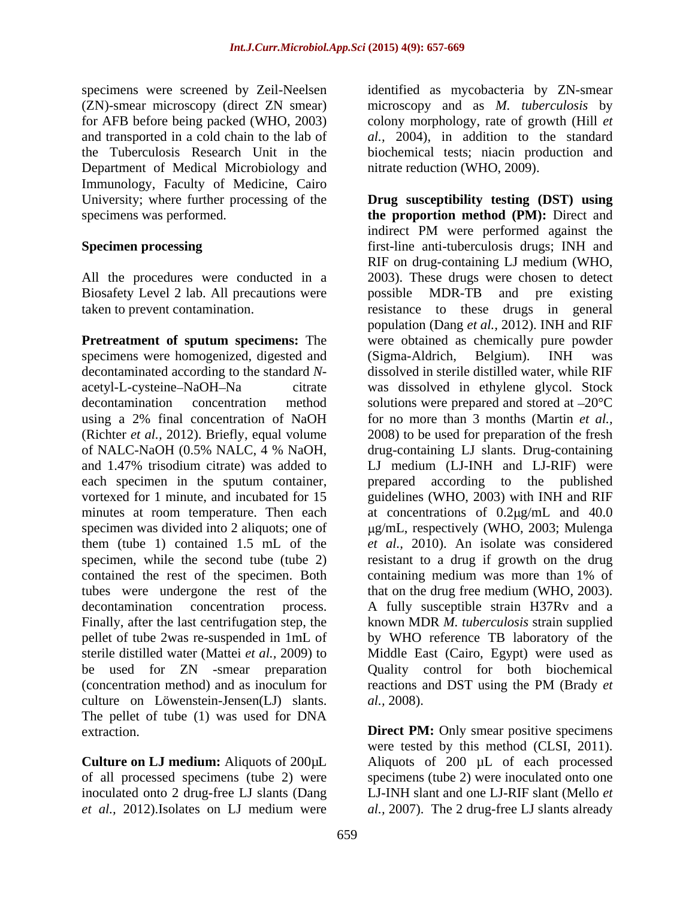Department of Medical Microbiology and Immunology, Faculty of Medicine, Cairo

Biosafety Level 2 lab. All precautions were possible MDR-TB and pre existing

specimens were homogenized, digested and (Sigma-Aldrich, Belgium). INH was each specimen in the sputum container, prepared according to the published contained the rest of the specimen. Both containing medium was more than 1% of Finally, after the last centrifugation step, the (concentration method) and as inoculum for reactions and DST using the PM (Brady et culture on Löwenstein-Jensen(LJ) slants. *al.*, 2008). The pellet of tube (1) was used for DNA extraction. **Direct PM:** Only smear positive specimens

of all processed specimens (tube 2) were

specimens were screened by Zeil-Neelsen identified as mycobacteria by ZN-smear (ZN)-smear microscopy (direct ZN smear) microscopy and as *M. tuberculosis* by for AFB before being packed (WHO, 2003) colony morphology, rate of growth (Hill *et*  and transported in a cold chain to the lab of *al.,* 2004), in addition to the standard the Tuberculosis Research Unit in the biochemical tests; niacin production and nitrate reduction (WHO, 2009).

University; where further processing of the **Drug susceptibility testing (DST) using** specimens was performed. **the proportion method (PM):** Direct and **Specimen processing** first-line anti-tuberculosis drugs; INH and All the procedures were conducted in a 2003). These drugs were chosen to detect taken to prevent contamination. resistance to these drugs in general **Pretreatment of sputum specimens:** The were obtained as chemically pure powder decontaminated according to the standard *N*- dissolved in sterile distilled water, while RIF acetyl-L-cysteine NaOH Na citrate was dissolved in ethylene glycol. Stock decontamination concentration method solutions were prepared and stored at  $-20^{\circ}$ C using a 2% final concentration of NaOH for no more than 3 months (Martin *et al.,* (Richter *et al.,* 2012). Briefly, equal volume 2008) to be used for preparation of the fresh of NALC-NaOH (0.5% NALC, 4 % NaOH, and 1.47% trisodium citrate) was added to LJ medium (LJ-INH and LJ-RIF) were vortexed for 1 minute, and incubated for 15 guidelines (WHO, 2003) with INH and RIF minutes at room temperature. Then each at concentrations of 0.2 µg/mL and 40.0 specimen was divided into 2 aliquots; one of  $\qquad \qquad$  µg/mL, respectively (WHO, 2003; Mulenga them (tube 1) contained 1.5 mL of the *et al.,* 2010). An isolate was considered specimen, while the second tube (tube 2) resistant to a drug if growth on the drug tubes were undergone the rest of the that on the drug free medium (WHO, 2003). decontamination concentration process. A fully susceptible strain H37Rv and a pellet of tube 2was re-suspended in 1mL of by WHO reference TB laboratory of the sterile distilled water (Mattei *et al.,* 2009) to Middle East (Cairo, Egypt) were used as be used for ZN -smear preparation Quality control for both biochemical indirect PM were performed against the RIF on drug-containing LJ medium (WHO, possible MDR-TB and pre existing population (Dang *et al.,* 2012). INH and RIF (Sigma-Aldrich, Belgium). INH was drug-containing LJ slants. Drug-containing prepared according to the published containing medium was more than 1% of known MDR *M. tuberculosis* strain supplied reactions and DST using the PM (Brady *et al.,* 2008).

**Culture on LJ medium:** Aliquots of 200µL Aliquots of 200 µL of each processed inoculated onto 2 drug-free LJ slants (Dang LJ-INH slant and one LJ-RIF slant (Mello *et et al.,* 2012).Isolates on LJ medium were *al.,* 2007). The 2 drug-free LJ slants alreadywere tested by this method (CLSI, 2011). specimens (tube 2) were inoculated onto one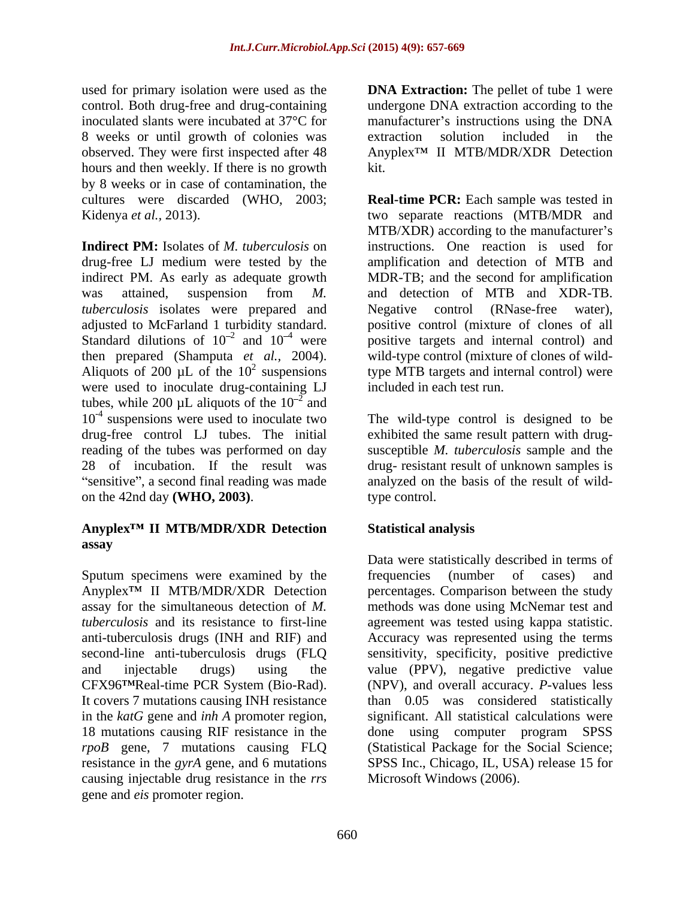8 weeks or until growth of colonies was observed. They were first inspected after 48 hours and then weekly. If there is no growth kit. by 8 weeks or in case of contamination, the

**Indirect PM:** Isolates of *M. tuberculosis* on instructions. One reaction is used for drug-free LJ medium were tested by the indirect PM. As early as adequate growth MDR-TB; and the second for amplification was attained, suspension from *M.*  and detection of MTB and XDR-TB. *tuberculosis* isolates were prepared and Megative control (RNase-free water), adjusted to McFarland 1 turbidity standard. positive control (mixture of clones of all Standard dilutions of  $10^{-2}$  and  $10^{-4}$  were then prepared (Shamputa *et al.,* 2004). wild-type control (mixture of clones of wild-<br>Aliquots of 200 µL of the 10<sup>2</sup> suspensions type MTB targets and internal control) were were used to inoculate drug-containing LJ tubes, while 200  $\mu$ L aliquots of the 10<sup>-2</sup> and  $\frac{2}{2}$  and and  $10^{-4}$  suspensions were used to inoculate two drug-free control LJ tubes. The initial reading of the tubes was performed on day susceptible *M. tuberculosis* sample and the 28 of incubation. If the result was drug- resistant result of unknown samples is on the 42nd day **(WHO, 2003)**.

# **Anyplex II MTB/MDR/XDR Detection assay**

Sputum specimens were examined by the frequencies (number of cases) and in the *katG* gene and *inh A* promoter region, causing injectable drug resistance in the *rrs*  gene and *eis* promoter region.

used for primary isolation were used as the **DNA Extraction:** The pellet of tube 1 were control. Both drug-free and drug-containing undergone DNA extraction according to the inoculated slants were incubated at 37°C for manufacturer's instructions using the DNA extraction solution included in the Anyplex<sup>™</sup> II MTB/MDR/XDR Detection kit.

cultures were discarded (WHO, 2003; **Real-time PCR:** Each sample was tested in Kidenya *et al.*, 2013). two separate reactions (MTB/MDR and <sup>2</sup> and  $10^{-4}$  were positive targets and internal control) and <sup>2</sup> suspensions type MTB targets and internal control) were MTB/XDR) according to the manufacturer's amplification and detection of MTB and Negative control (RNase-free water), wild-type control (mixture of clones of wildincluded in each test run.

suspensions were used to inoculate two The wild-type control is designed to be sensitive", a second final reading was made analyzed on the basis of the result of wildexhibited the same result pattern with drug type control.

# **Statistical analysis**

Anyplex<sup>TM</sup> II MTB/MDR/XDR Detection percentages. Comparison between the study assay for the simultaneous detection of *M.*  methods was done using McNemar test and *tuberculosis* and its resistance to first-line agreement was tested using kappa statistic. anti-tuberculosis drugs (INH and RIF) and Accuracy was represented using the terms second-line anti-tuberculosis drugs (FLQ sensitivity, specificity, positive predictive and injectable drugs) using the value (PPV), negative predictive value CFX96<sup>TM</sup>Real-time PCR System (Bio-Rad). (NPV), and overall accuracy. *P*-values less It covers 7 mutations causing INH resistance than 0.05 was considered statistically 18 mutations causing RIF resistance in the done using computer program SPSS *rpoB* gene, 7 mutations causing FLQ (Statistical Package for the Social Science; resistance in the *gyrA* gene, and 6 mutations SPSS Inc., Chicago, IL, USA) release 15 for Data were statistically described in terms of frequencies (number of cases) and significant. All statistical calculations were Microsoft Windows (2006).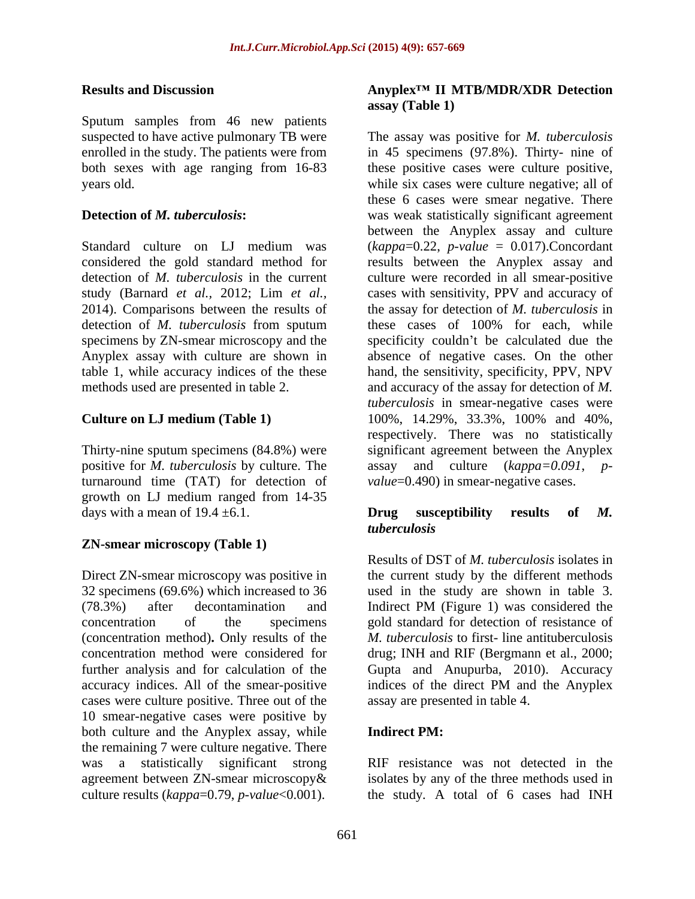Sputum samples from 46 new patients

positive for *M. tuberculosis* by culture. The turnaround time (TAT) for detection of growth on LJ medium ranged from 14-35 days with a mean of  $19.4 \pm 6.1$ .

# **ZN-smear microscopy (Table 1)**

Direct ZN-smear microscopy was positive in accuracy indices. All of the smear-positive indices of the direct PM and the Anyplex cases were culture positive. Three out of the 10 smear-negative cases were positive by both culture and the Anyplex assay, while **Indirect PM:** the remaining 7 were culture negative. There was a statistically significant strong RIF resistance was not detected in the agreement between ZN-smear microscopy& isolates by any of the three methods used in culture results (*kappa*=0.79, *p-value*<0.001). the study*.* A total of 6 cases had INH

### **Results and Discussion Anyplex II MTB/MDR/XDR Detection assay (Table 1)**

suspected to have active pulmonary TB were The assay was positive for *M. tuberculosis* enrolled in the study. The patients were from in 45 specimens (97.8%). Thirty- nine of both sexes with age ranging from 16-83 these positive cases were culture positive, years old. while six cases were culture negative; all of **Detection of** *M. tuberculosis* : was weak statistically significant agreement Standard culture on LJ medium was (*kappa*=0.22, *p-value* = 0.017).Concordant considered the gold standard method for results between the Anyplex assay and detection of *M. tuberculosis* in the current culture were recorded in all smear-positive study (Barnard *et al.,* 2012; Lim *et al.,* cases with sensitivity, PPV and accuracy of 2014). Comparisons between the results of the assay for detection of *M. tuberculosis* in detection of *M. tuberculosis* from sputum these cases of 100% for each, while specimens by ZN-smear microscopy and the specificity couldn't be calculated due the Anyplex assay with culture are shown in absence of negative cases. On the other table 1, while accuracy indices of the these hand, the sensitivity, specificity, PPV, NPV methods used are presented in table 2. **and accuracy of the assay for detection of** *M***. Culture on LJ medium (Table 1)** 100%, 14.29%, 33.3%, 100% and 40%, Thirty-nine sputum specimens (84.8%) were significant agreement between the Anyplex these 6 cases were smear negative. There between the Anyplex assay and culture *tuberculosis* in smear-negative cases were 100%, 14.29%, 33.3%, 100% and 40%, respectively. There was no statistically assay and culture (*kappa*=0.091, *value*=0.490) in smear-negative cases.

# **Drug susceptibility results of** *M. tuberculosis*

32 specimens (69.6%) which increased to 36 used in the study are shown in table 3. (78.3%) after decontamination and Indirect PM (Figure 1) was considered the concentration of the specimens gold standard for detection of resistance of (concentration method)**.** Only results of the *M. tuberculosis* to first- line antituberculosis concentration method were considered for drug; INH and RIF (Bergmann et al., 2000; further analysis and for calculation of the Gupta and Anupurba, 2010). Accuracy Results of DST of *M. tuberculosis* isolates in the current study by the different methods indices of the direct PM and the Anyplex assay are presented in table 4.

# **Indirect PM:**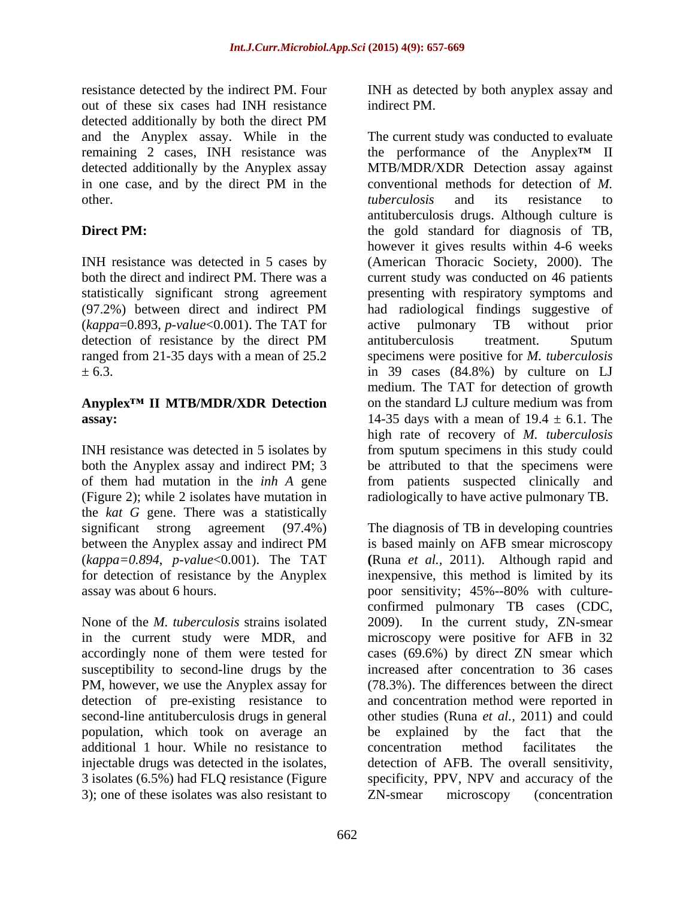resistance detected by the indirect PM. Four INH as detected by both anyplex assay and out of these six cases had INH resistance indirect PM. detected additionally by both the direct PM and the Anyplex assay. While in the

statistically significant strong agreement (*kappa*=0.893, *p-value*<0.001). The TAT for

# **Anyplex<sup>TM</sup> II MTB/MDR/XDR Detection** on the standard LJ culture medium was from

both the Anyplex assay and indirect PM; 3 (Figure 2); while 2 isolates have mutation in the *kat G* gene. There was a statistically

susceptibility to second-line drugs by the PM, however, we use the Anyplex assay for detection of pre-existing resistance to population, which took on average an be explained by the fact that the additional 1 hour. While no resistance to 3); one of these isolates was also resistant to ZN-smear microscopy (concentration

indirect PM.

remaining 2 cases, INH resistance was the performance of the Anyplex<sup>TM</sup> II detected additionally by the Anyplex assay MTB/MDR/XDR Detection assay against in one case, and by the direct PM in the conventional methods for detection of  $M$ . other. the *tuberculosis* and its resistance to **Direct PM:** the gold standard for diagnosis of TB, INH resistance was detected in 5 cases by (American Thoracic Society, 2000). The both the direct and indirect PM. There was a current study was conducted on 46 patients (97.2%) between direct and indirect PM detection of resistance by the direct PM antituberculosis treatment. Sputum ranged from 21-35 days with a mean of 25.2 specimens were positive for *M. tuberculosis*  $\pm$  6.3.  $\qquad$  in 39 cases (84.8%) by culture on LJ **assay:**  $14-35$  days with a mean of  $19.4 \pm 6.1$ . The INH resistance was detected in 5 isolates by from sputum specimens in this study could of them had mutation in the *inh A* gene from patients suspected clinically and The current study was conducted to evaluate conventional methods for detection of *M. tuberculosis* and its resistance to antituberculosis drugs. Although culture is however it gives results within 4-6 weeks presenting with respiratory symptoms and had radiological findings suggestive of active pulmonary TB without prior antituberculosis treatment. Sputum medium. The TAT for detection of growth on the standard LJ culture medium was from high rate of recovery of *M. tuberculosis* be attributed to that the specimens were radiologically to have active pulmonary TB.

significant strong agreement (97.4%) The diagnosis of TB in developing countries between the Anyplex assay and indirect PM is based mainly on AFB smear microscopy (*kappa=0.894*, *p-value*<0.001). The TAT **(**Runa *et al.,* 2011). Although rapid and for detection of resistance by the Anyplex inexpensive, this method is limited by its assay was about 6 hours. poor sensitivity; 45%--80% with culture- None of the *M. tuberculosis* strains isolated 2009). In the current study, ZN-smear in the current study were MDR, and microscopy were positive for AFB in 32 accordingly none of them were tested for cases (69.6%) by direct ZN smear which second-line antituberculosis drugs in general other studies (Runa *et al.,* 2011) and could injectable drugs was detected in the isolates, detection of AFB. The overall sensitivity, 3 isolates (6.5%) had FLQ resistance (Figure specificity, PPV, NPV and accuracy of the is based mainly on AFB smear microscopy confirmed pulmonary TB cases (CDC, increased after concentration to 36 cases (78.3%). The differences between the direct and concentration method were reported in be explained by the fact that concentration method facilitates the ZN-smear microscopy (concentration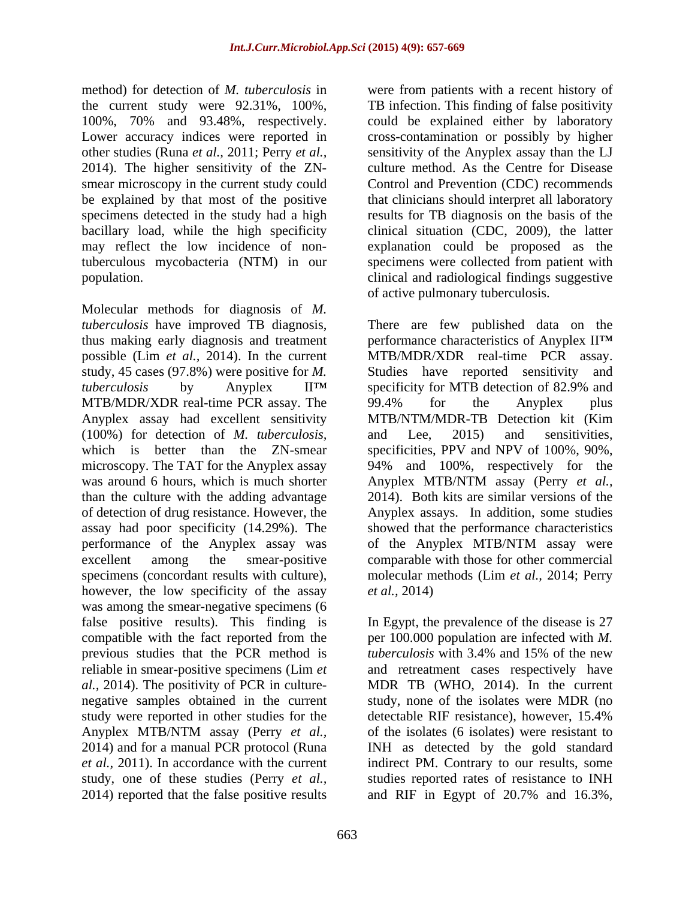2014). The higher sensitivity of the ZN tuberculous mycobacteria (NTM) in our

Molecular methods for diagnosis of *M. tuberculosis* have improved TB diagnosis, There are few published data on the thus making early diagnosis and treatment performance characteristics of Anyplex II possible (Lim *et al.,* 2014). In the current MTB/MDR/XDR real-time PCR assay. study, 45 cases (97.8%) were positive for *M*. Studies have reported sensitivity and *tuberculosis* by Anyplex II specificity for MTB detection of 82.9% and MTB/MDR/XDR real-time PCR assay. The 99.4% for the Anyplex plus Anyplex assay had excellent sensitivity MTB/NTM/MDR-TB Detection kit (Kim (100%) for detection of *M. tuberculosis,* which is better than the ZN-smear specificities, PPV and NPV of 100%, 90%, microscopy. The TAT for the Anyplex assay 94% and 100%, respectively for the was around 6 hours, which is much shorter Anyplex MTB/NTM assay (Perry et al., than the culture with the adding advantage 2014). Both kits are similar versions of the of detection of drug resistance. However, the Anyplex assays. In addition, some studies assay had poor specificity (14.29%). The showed that the performance characteristics performance of the Anyplex assay was of the Anyplex MTB/NTM assay were excellent among the smear-positive comparable with those for other commercial specimens (concordant results with culture), however, the low specificity of the assay *et al.*, 2014) was among the smear-negative specimens  $(6)$ false positive results). This finding is In Egypt, the prevalence of the disease is 27 compatible with the fact reported from the  $per\ 100.000$  population are infected with M. previous studies that the PCR method is *tuberculosis* with 3.4% and 15% of the new reliable in smear-positive specimens (Lim *et*  and retreatment cases respectively have *al.*, 2014). The positivity of PCR in culture- MDR TB (WHO, 2014). In the current negative samples obtained in the current study, none of the isolates were MDR (no study were reported in other studies for the detectable RIF resistance), however, 15.4% Anyplex MTB/NTM assay (Perry *et al.,* 2014) and for a manual PCR protocol (Runa INH as detected by the gold standard *et al.,* 2011). In accordance with the current indirect PM. Contrary to our results, some study, one of these studies (Perry *et al.,* studies reported rates of resistance to INH 2014) reported that the false positive results and RIF in Egypt of 20.7% and 16.3%,

method) for detection of *M. tuberculosis* in were from patients with a recent history of the current study were 92.31%, 100%, TB infection. This finding of false positivity 100%, 70% and 93.48%, respectively. could be explained either by laboratory Lower accuracy indices were reported in cross-contamination or possibly by higher other studies (Runa *et al.,* 2011; Perry *et al.,* sensitivity of the Anyplex assay than the LJ smear microscopy in the current study could Control and Prevention (CDC) recommends be explained by that most of the positive that clinicians should interpret all laboratory specimens detected in the study had a high results for TB diagnosis on the basis of the bacillary load, while the high specificity clinical situation (CDC, 2009), the latter may reflect the low incidence of non-explanation could be proposed as the population. clinical and radiological findings suggestive culture method. As the Centre for Disease specimens were collected from patient with of active pulmonary tuberculosis.

> Studies have reported sensitivity 99.4% for the Anyplex plus and Lee, 2015) and sensitivities, Anyplex MTB/NTM assay (Perry *et al.,* of the Anyplex MTB/NTM assay were molecular methods (Lim *et al.,* 2014; Perry *et al.,* 2014)

per 100.000 population are infected with *M. tuberculosis* with 3.4% and 15% of the new detectable RIF resistance), however, 15.4% of the isolates (6 isolates) were resistant to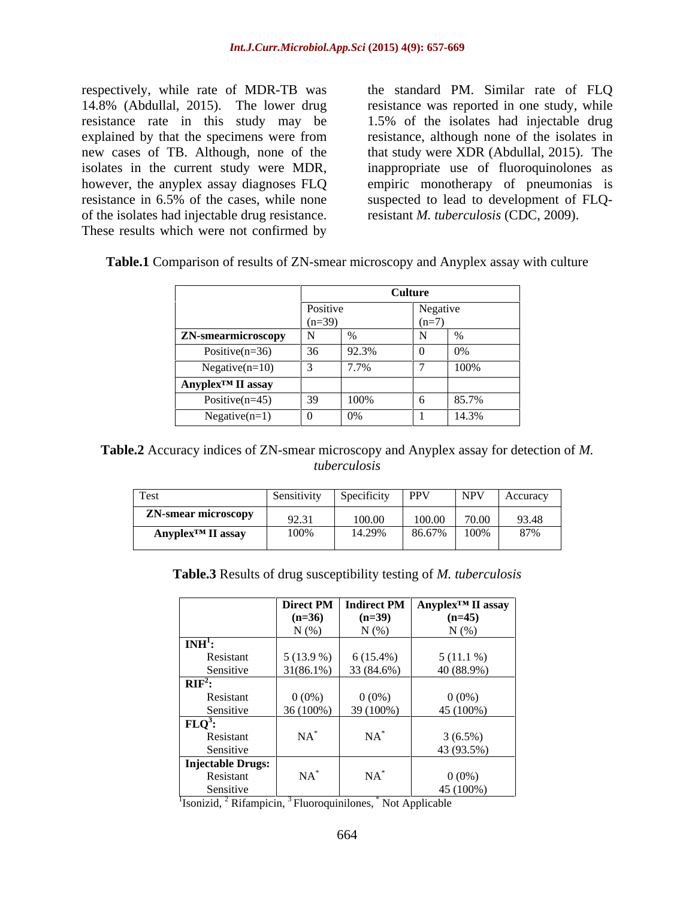respectively, while rate of MDR-TB was the standard PM. Similar rate of FLQ 14.8% (Abdullal, 2015). The lower drug resistance was reported in one study, while resistance rate in this study may be 1.5% of the isolates had injectable drug explained by that the specimens were from resistance, although none of the isolates in new cases of TB. Although, none of the that study were XDR (Abdullal, 2015). The isolates in the current study were MDR, inappropriate use of fluoroquinolones as however, the anyplex assay diagnoses FLQ empiric monotherapy of pneumonias is resistance in 6.5% of the cases, while none suspected to lead to development of FLQof the isolates had injectable drug resistance. These results which were not confirmed by

resistant *M. tuberculosis* (CDC, 2009).

| Table.1 Comparison of results of ZN-smear microscopy and Anyplex assay with culture |  |  |  |
|-------------------------------------------------------------------------------------|--|--|--|
|                                                                                     |  |  |  |

|                               |          |       | <b>Culture</b> |           |
|-------------------------------|----------|-------|----------------|-----------|
|                               | Positive |       | Negative       |           |
| <b>ZN-smearmicroscopy</b>     | $(n=39)$ |       |                |           |
| Positive $(n=36)$             |          | 92.3% |                | $\sim$ 0% |
| $Negative(n=10)$              |          | 7.7%  |                | 100%      |
| Anyplex <sup>™</sup> II assay |          |       |                |           |
| Positive $(n=45)$             |          | 100%  |                | 85.7%     |
| $Negative(n=1)$               |          |       |                | 14.3%     |

**Table.2** Accuracy indices of ZN-smear microscopy and Anyplex assay for detection of *M. tuberculosis*

| Test                                | Sensitivity   Specificity   PPV   NPV   Accuracy |                                 |  |  |
|-------------------------------------|--------------------------------------------------|---------------------------------|--|--|
| ZN-smear microscopy                 | 92.31                                            | $100.00$ $100.00$ $70.00$ 93.48 |  |  |
| $\bf{Anyplex}^{\text{TM}}$ II assay | 100%                                             | $14.29\%$ 86.67% 100% 87%       |  |  |

**Table.3** Results of drug susceptibility testing of *M. tuberculosis*

|                        |             |                                                       | Direct PM   Indirect PM   Anyplex <sup>TM</sup> II assay |
|------------------------|-------------|-------------------------------------------------------|----------------------------------------------------------|
|                        | $(n=36)$    | $(n=39)$                                              | $(n=45)$                                                 |
|                        | N(%)        | N(%)                                                  | $N$ $(\%)$                                               |
| $INH1$ :               |             |                                                       |                                                          |
| Resistant              |             | $\begin{bmatrix} 5(13.9\%) & 6(15.4\%) \end{bmatrix}$ | $5(11.1\%)$                                              |
| Sensitive<br>$RIF^2$ : |             | $31(86.1\%)$ 33 (84.6%)                               | 40 (88.9%)                                               |
|                        |             |                                                       |                                                          |
| Resistant              | $0(0\%)$    | $0(0\%)$                                              | $0(0\%)$                                                 |
| Sensitive              | $36(100\%)$ | 39 (100%)                                             | 45 (100%)                                                |
| FLQ <sup>3</sup> :     |             |                                                       |                                                          |
| Resistant              | $NA^*$      | $NA^*$                                                | $3(6.5\%)$                                               |
| Sensitive              |             |                                                       | 43 (93.5%)                                               |
| Injectable Drugs:      |             |                                                       |                                                          |
| Resistant              | $NA^*$      | $NA^*$                                                | $0(0\%)$                                                 |
| Sensitive              |             |                                                       | 45(100%)                                                 |

<sup>1</sup>Isonizid, <sup>2</sup> Rifampicin, <sup>3</sup> Fluoroquinilones, <sup>\*</sup> Not Applicable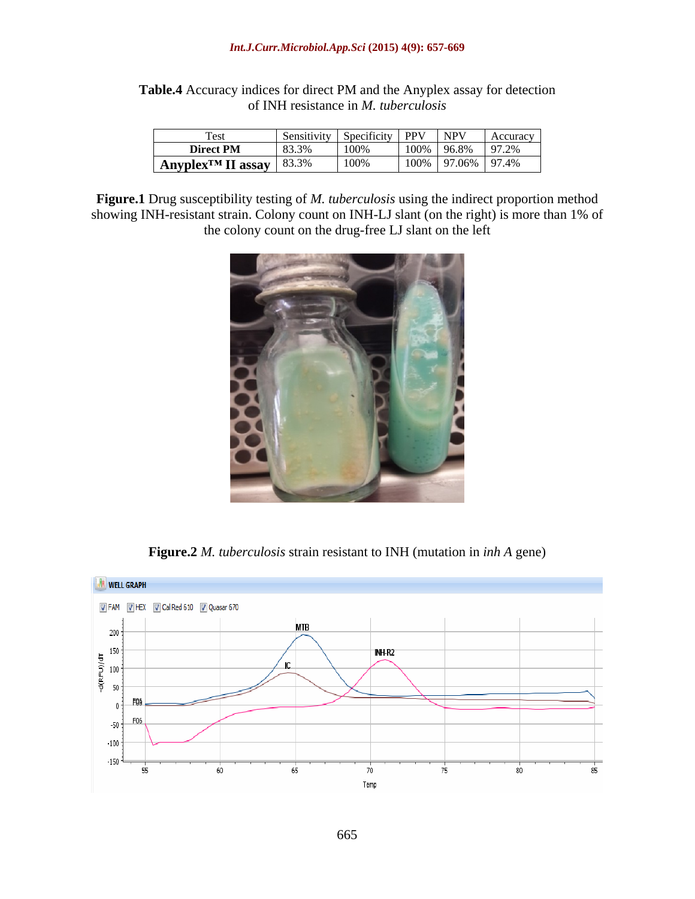### *Int.J.Curr.Microbiol.App.Sci* **(2015) 4(9): 657-669**

**Table.4** Accuracy indices for direct PM and the Anyplex assay for detection of INH resistance in *M. tuberculosis*

| Test                                   | .     |         | DDVI | I NPV<br>$\Delta$ cents  |
|----------------------------------------|-------|---------|------|--------------------------|
| <b>Direct PM</b>                       | 83.3% | $-100%$ |      | 100%   96.8%   97.2%     |
| Anyplex <sup>TM</sup> II assay   83.3% |       | 100%    |      | $100\%$   97.06%   97.4% |

**Figure.1** Drug susceptibility testing of *M. tuberculosis* using the indirect proportion method showing INH-resistant strain. Colony count on INH-LJ slant (on the right) is more than 1% of the colony count on the drug-free LJ slant on the left



**Figure.2** *M. tuberculosis* strain resistant to INH (mutation in *inh A* gene)

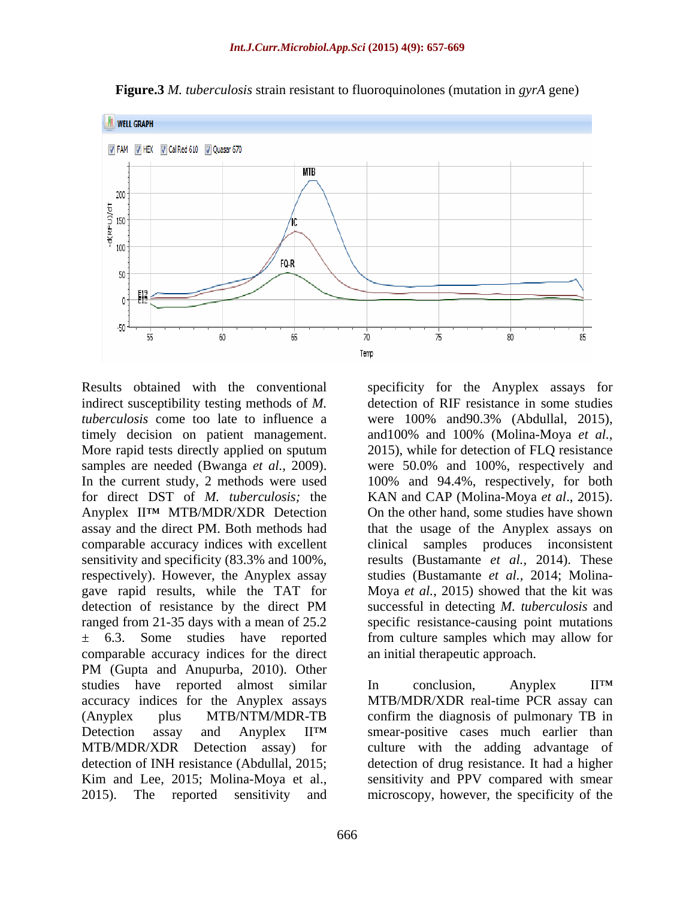

**Figure.3** *M. tuberculosis* strain resistant to fluoroquinolones (mutation in *gyrA* gene)

Results obtained with the conventional specificity for the Anyplex assays for indirect susceptibility testing methods of *M. tuberculosis* come too late to influence a were 100% and90.3% (Abdullal, 2015), timely decision on patient management. and 100% and 100% (Molina-Moya *et al.*, More rapid tests directly applied on sputum 2015), while for detection of FLQ resistance samples are needed (Bwanga *et al.,* 2009). were 50.0% and 100%, respectively and In the current study, 2 methods were used 100% and 94.4%, respectively, for both for direct DST of *M. tuberculosis;* the KAN and CAP (Molina-Moya *et al*., 2015). Anyplex II<sup>TM</sup> MTB/MDR/XDR Detection On the other hand, some studies have shown assay and the direct PM. Both methods had that the usage of the Anyplex assays on comparable accuracy indices with excellent clinical samples produces inconsistent sensitivity and specificity (83.3% and 100%, results (Bustamante *et al.,* 2014). These respectively). However, the Anyplex assay studies (Bustamante *et al.,* 2014; Molina gave rapid results, while the TAT for Moya *et al.*, 2015) showed that the kit was detection of resistance by the direct PM successful in detecting *M. tuberculosis* and ranged from 21-35 days with a mean of 25.2 specific resistance-causing point mutations ± 6.3. Some studies have reported from culture samples which may allow for comparable accuracy indices for the direct PM (Gupta and Anupurba, 2010). Other studies have reported almost similar In conclusion, Anyplex II<sup>TM</sup> accuracy indices for the Anyplex assays MTB/MDR/XDR real-time PCR assay can (Anyplex plus MTB/NTM/MDR-TB confirm the diagnosis of pulmonary TB in Detection assay and Anyplex II<sup>TM</sup> smear-positive cases much earlier than MTB/MDR/XDR Detection assay) for culture with the adding advantage of detection of INH resistance (Abdullal, 2015; detection of drug resistance. It had a higher

and100% and 100% (Molina-Moya *et al.*, 2015), while for detection of FLQ resistance successful in detecting *M. tuberculosis* and an initial therapeutic approach. In conclusion, Anyplex II<sup>TM</sup>

detection of RIF resistance in some studies

Kim and Lee, 2015; Molina-Moya et al., sensitivity and PPV compared with smear 2015). The reported sensitivity and microscopy, however, the specificity of the sensitivity and PPV compared with smear microscopy, however, the specificity of the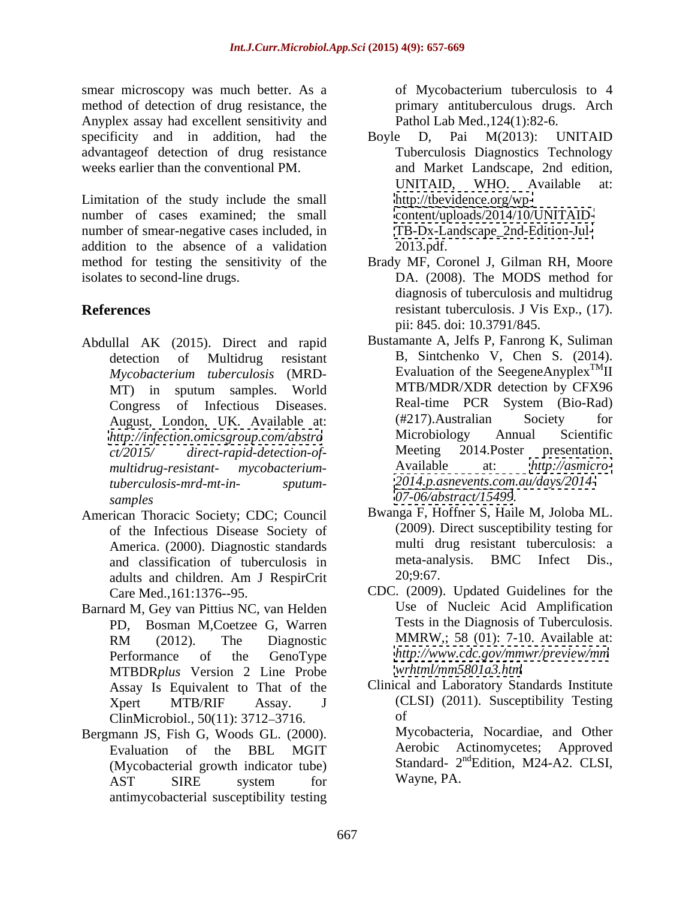smear microscopy was much better. As a set of Mycobacterium tuberculosis to 4 method of detection of drug resistance, the Anyplex assay had excellent sensitivity and specificity and in addition, had the Boyle D, Pai M(2013): UNITAID advantageof detection of drug resistance

Limitation of the study include the small number of cases examined; the small number of smear-negative cases included, in addition to the absence of a validation 2013.pdf. method for testing the sensitivity of the Brady MF, Coronel J, Gilman RH, Moore isolates to second-line drugs. DA. (2008). The MODS method for

- Abdullal AK (2015). Direct and rapid *Mycobacterium tuberculosis* (MRD *multidrug-resistant- mycobacteriumsamples <07-06/abstract/15499>.*
- of the Infectious Disease Society of and classification of tuberculosis in meta-ana<br>adults and children Am I Respire to  $20:9:67$ . adults and children. Am J RespirCrit 20,9:67.
- Barnard M, Gey van Pittius NC, van Helden PD, Bosman M,Coetzee G, Warren MTBDR*plus* Version 2 Line Probe Assay Is Equivalent to That of the ClinMicrobiol., 50(11): 3712–3716. of
- Bergmann JS, Fish G, Woods GL. (2000). Mycobacteria, Nocardiae, and Other<br>Fyaluation of the BBL MGIT Aerobic Actinomycetes: Approved Evaluation of the BBL MGIT (Mycobacterial growth indicator tube) AST SIRE system for Wayne, PA. antimycobacterial susceptibility testing

of Mycobacterium tuberculosis to 4 primary antituberculous drugs. Arch Pathol Lab Med.,124(1):82-6.

- weeks earlier than the conventional PM. The and Market Landscape, 2nd edition, Boyle D, Pai M(2013): UNITAID Tuberculosis Diagnostics Technology UNITAID, WHO. Available at: [http://tbevidence.org/wp](http://tbevidence.org/wp-) <content/uploads/2014/10/UNITAID-> [TB-Dx-Landscape\\_2nd-Edition-Jul-](TB-Dx-Landscape_2nd-Edition-Jul-) 2013.pdf. Brady MF, Coronel J, Gilman RH, Moore
- **References** resistant tuberculosis. J Vis Exp., (17). diagnosis of tuberculosis and multidrug pii: 845. doi: 10.3791/845.
	- detection of Multidrug resistant B, Sintchenko V, Chen S.  $(2014)$ . MT) in sputum samples. World MTB/MDR/XDR detection by CFX96 Congress of Infectious Diseases. Real-time PCR System (Bio-Rad)<br>August London UK Available at: (#217). Australian Society for August, London, UK. Available at: (#217). Australian Society for<br>http://infection.omicsoroun.com/abstra Microbiology Annual Scientific *<http://infection.omicsgroup.com/abstra>* Microbiology Annual Scientific<br>ct/2015/ direct-rapid-detection-of- Meeting 2014.Poster presentation. *ct/2015/ direct-rapid-detection-of tuberculosis-mrd-mt-in- sputum- <2014.p.asnevents.com.au/days/2014->* Bustamante A, Jelfs P, Fanrong K, Suliman Evaluation of the SeegeneAnyplex<sup>TM</sup>II TM<sub>II</sub> MTB/MDR/XDR detection by CFX96 Real-time PCR System (Bio-Rad) (#217).Australian Society for Microbiology Annual Scientific Meeting 2014.Poster presentation. Available at: *<http://asmicro->*
- American Thoracic Society; CDC; Council Bwanga F, Hoffner S, Haile M, Joloba ML.<br>of the Infectious Disease Society of (2009). Direct susceptibility testing for America. (2000). Diagnostic standards multi drug resistant tuberculosis: a<br>and classification of tuberculosis in the meta-analysis. BMC Infect Dis. Bwanga F, Hoffner S, Haile M, Joloba ML. (2009). Direct susceptibility testing for multi drug resistant tuberculosis: a meta-analysis. BMC Infect Dis.,<br>20;9:67.
	- Care Med.,161:1376--95. CDC. (2009). Updated Guidelines for the RM (2012). The Diagnostic MMRW,; 58 (01): 7-10. Available at: Performance of the GenoType  $http://www.cdc.gov/mmwr/preview/mm$ <br>MTRDPplus Version 2 Line Probe wrhtml/mm5801a3 htm Use of Nucleic Acid Amplification Tests in the Diagnosis of Tuberculosis. MMRW,; 58 (01): 7-10. Available at: *<http://www.cdc.gov/mmwr/preview/mm> [wrhtml/mm5801a3.htm](http://wrhtml/mm5801a3.htm)*
	- Xpert MTB/RIF Assay. J (CLSI) (2011). Susceptibility Testing Clinical and Laboratory Standards Institute of

Mycobacteria, Nocardiae, and Other Aerobic Actinomycetes; Approved Standard- 2<sup>nd</sup>Edition, M24-A2. CLSI, Wayne, PA.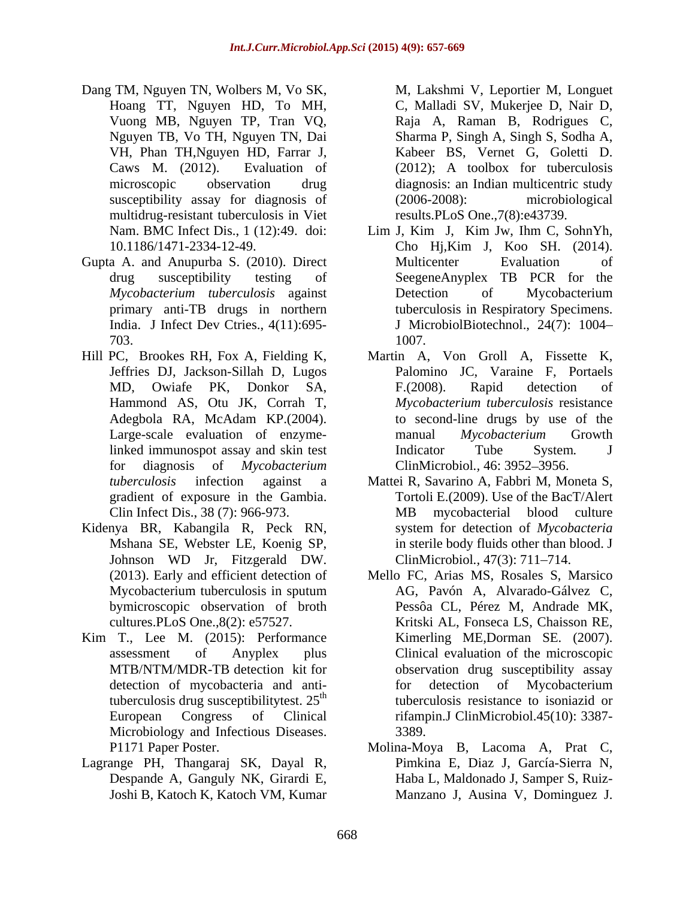- Dang TM, Nguyen TN, Wolbers M, Vo SK, susceptibility assay for diagnosis of (2006-2008): microbiological multidrug-resistant tuberculosis in Viet
- Gupta A. and Anupurba S. (2010). Direct Multicenter Evaluation of
- Hill PC, Brookes RH, Fox A, Fielding K, Adegbola RA, McAdam KP.(2004). for diagnosis of *Mycobacterium*  ClinMicrobiol*.,* 46: 3952 3956.
- Kidenya BR, Kabangila R, Peck RN, Johnson WD Jr, Fitzgerald DW.
- Kim T., Lee M. (2015): Performance tuberculosis drug susceptibilitytest.  $25<sup>th</sup>$ Microbiology and Infectious Diseases. 3389.
- Lagrange PH, Thangaraj SK, Dayal R,

Hoang TT, Nguyen HD, To MH, C, Malladi SV, Mukerjee D, Nair D, Vuong MB, Nguyen TP, Tran VQ, Raja A, Raman B, Rodrigues C, Nguyen TB, Vo TH, Nguyen TN, Dai Sharma P, Singh A, Singh S, Sodha A, VH, Phan TH,Nguyen HD, Farrar J, Kabeer BS, Vernet G, Goletti D. Caws M. (2012). Evaluation of (2012); A toolbox for tuberculosis microscopic observation drug diagnosis: an Indian multicentric study M, Lakshmi V, Leportier M, Longuet (2006-2008): microbiological results.PLoS One.,7(8):e43739.

- Nam. BMC Infect Dis., 1 (12):49. doi: Lim J, Kim J, Kim Jw, Ihm C, SohnYh, 10.1186/1471-2334-12-49. Cho Hj,Kim J, Koo SH. (2014). drug susceptibility testing of SeegeneAnyplex TB PCR for the *Mycobacterium tuberculosis* against primary anti-TB drugs in northern tuberculosis in Respiratory Specimens. India. J Infect Dev Ctries., 4(11):695-<br>J MicrobiolBiotechnol., 24(7): 1004– 703. Multicenter Evaluation of Detection of Mycobacterium 1007.
- Jeffries DJ, Jackson-Sillah D, Lugos Palomino JC, Varaine F, Portaels MD, Owiafe PK, Donkor SA, Hammond AS, Otu JK, Corrah T, *Mycobacterium tuberculosis* resistance Large-scale evaluation of enzyme-<br>manual Mycobacterium Growth linked immunospot assay and skin test **Indicator** Tube System. J Martin A, Von Groll A, Fissette K, F.(2008). Rapid detection of to second-line drugs by use of the manual *Mycobacterium* Growth Indicator Tube System*.* J
- *tuberculosis* infection against a Mattei R, Savarino A, Fabbri M, Moneta S, gradient of exposure in the Gambia. Tortoli E.(2009). Use of the BacT/Alert Clin Infect Dis., 38 (7): 966-973. MB mycobacterial blood culture Mshana SE, Webster LE, Koenig SP, in sterile body fluids other than blood. J MB mycobacterial blood culture system for detection of *Mycobacteria* ClinMicrobiol., 47(3): 711-714.
- (2013). Early and efficient detection of Mello FC, Arias MS, Rosales S, Marsico Mycobacterium tuberculosis in sputum AG, Pavón A, Alvarado-Gálvez C, bymicroscopic observation of broth Pessôa CL, Pérez M, Andrade MK, cultures.PLoS One.,8(2): e57527. Kritski AL, Fonseca LS, Chaisson RE, assessment of Anyplex plus Clinical evaluation of the microscopic MTB/NTM/MDR-TB detection kit for observation drug susceptibility assay detection of mycobacteria and anti-<br>for detection of Mycobacterium tuberculosis resistance to isoniazid or European Congress of Clinical rifampin.J ClinMicrobiol.45(10): 3387- Kimerling ME,Dorman SE. (2007). for detection of Mycobacterium 3389.
- P1171 Paper Poster. Molina-Moya B, Lacoma A, Prat C, Despande A, Ganguly NK, Girardi E, Haba L, Maldonado J, Samper S, Ruiz- Joshi B, Katoch K, Katoch VM, Kumar Manzano J, Ausina V, Dominguez J. Pimkina E, Diaz J, García-Sierra N,